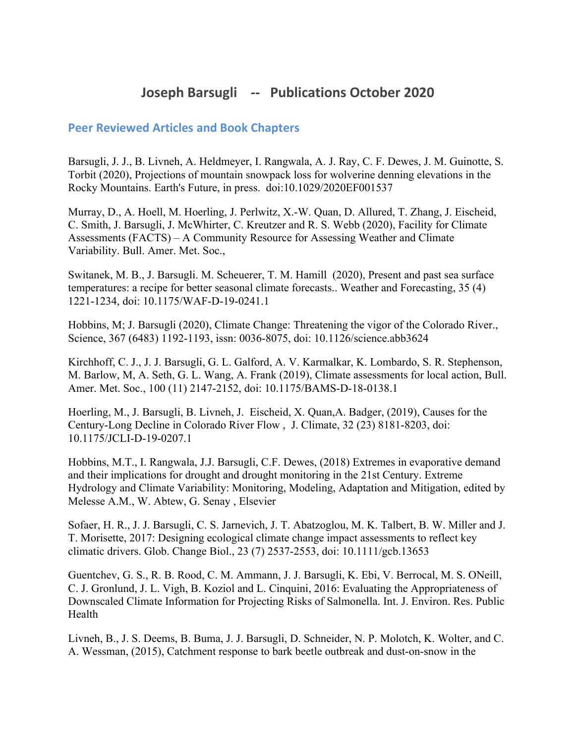## **Joseph Barsugli -- Publications October 2020**

## **Peer Reviewed Articles and Book Chapters**

Barsugli, J. J., B. Livneh, A. Heldmeyer, I. Rangwala, A. J. Ray, C. F. Dewes, J. M. Guinotte, S. Torbit (2020), Projections of mountain snowpack loss for wolverine denning elevations in the Rocky Mountains. Earth's Future, in press. doi:10.1029/2020EF001537

Murray, D., A. Hoell, M. Hoerling, J. Perlwitz, X.-W. Quan, D. Allured, T. Zhang, J. Eischeid, C. Smith, J. Barsugli, J. McWhirter, C. Kreutzer and R. S. Webb (2020), Facility for Climate Assessments (FACTS) – A Community Resource for Assessing Weather and Climate Variability. Bull. Amer. Met. Soc.,

Switanek, M. B., J. Barsugli. M. Scheuerer, T. M. Hamill (2020), Present and past sea surface temperatures: a recipe for better seasonal climate forecasts.. Weather and Forecasting, 35 (4) 1221-1234, doi: 10.1175/WAF-D-19-0241.1

Hobbins, M; J. Barsugli (2020), Climate Change: Threatening the vigor of the Colorado River., Science, 367 (6483) 1192-1193, issn: 0036-8075, doi: 10.1126/science.abb3624

Kirchhoff, C. J., J. J. Barsugli, G. L. Galford, A. V. Karmalkar, K. Lombardo, S. R. Stephenson, M. Barlow, M, A. Seth, G. L. Wang, A. Frank (2019), Climate assessments for local action, Bull. Amer. Met. Soc., 100 (11) 2147-2152, doi: 10.1175/BAMS-D-18-0138.1

Hoerling, M., J. Barsugli, B. Livneh, J. Eischeid, X. Quan,A. Badger, (2019), Causes for the Century-Long Decline in Colorado River Flow , J. Climate, 32 (23) 8181-8203, doi: 10.1175/JCLI-D-19-0207.1

Hobbins, M.T., I. Rangwala, J.J. Barsugli, C.F. Dewes, (2018) Extremes in evaporative demand and their implications for drought and drought monitoring in the 21st Century. Extreme Hydrology and Climate Variability: Monitoring, Modeling, Adaptation and Mitigation, edited by Melesse A.M., W. Abtew, G. Senay , Elsevier

Sofaer, H. R., J. J. Barsugli, C. S. Jarnevich, J. T. Abatzoglou, M. K. Talbert, B. W. Miller and J. T. Morisette, 2017: Designing ecological climate change impact assessments to reflect key climatic drivers. Glob. Change Biol., 23 (7) 2537-2553, doi: 10.1111/gcb.13653

Guentchev, G. S., R. B. Rood, C. M. Ammann, J. J. Barsugli, K. Ebi, V. Berrocal, M. S. ONeill, C. J. Gronlund, J. L. Vigh, B. Koziol and L. Cinquini, 2016: Evaluating the Appropriateness of Downscaled Climate Information for Projecting Risks of Salmonella. Int. J. Environ. Res. Public Health

Livneh, B., J. S. Deems, B. Buma, J. J. Barsugli, D. Schneider, N. P. Molotch, K. Wolter, and C. A. Wessman, (2015), Catchment response to bark beetle outbreak and dust-on-snow in the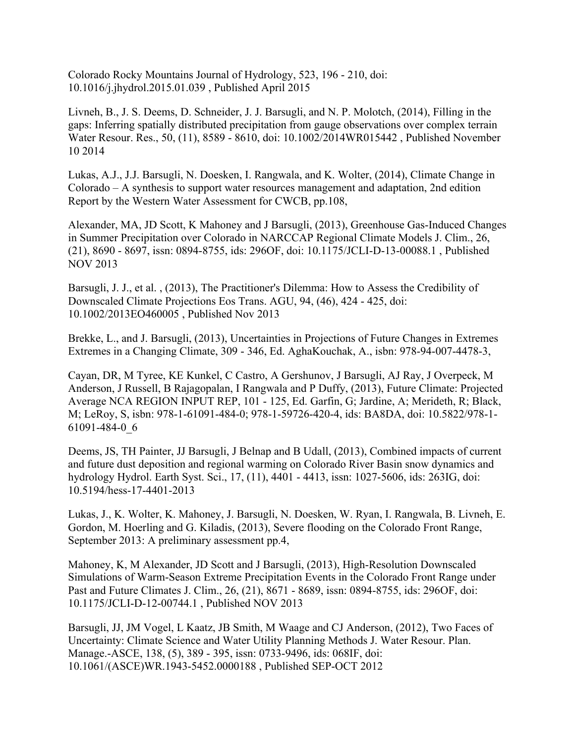Colorado Rocky Mountains Journal of Hydrology, 523, 196 - 210, doi: 10.1016/j.jhydrol.2015.01.039 , Published April 2015

Livneh, B., J. S. Deems, D. Schneider, J. J. Barsugli, and N. P. Molotch, (2014), Filling in the gaps: Inferring spatially distributed precipitation from gauge observations over complex terrain Water Resour. Res., 50, (11), 8589 - 8610, doi: 10.1002/2014WR015442 , Published November 10 2014

Lukas, A.J., J.J. Barsugli, N. Doesken, I. Rangwala, and K. Wolter, (2014), Climate Change in Colorado – A synthesis to support water resources management and adaptation, 2nd edition Report by the Western Water Assessment for CWCB, pp.108,

Alexander, MA, JD Scott, K Mahoney and J Barsugli, (2013), Greenhouse Gas-Induced Changes in Summer Precipitation over Colorado in NARCCAP Regional Climate Models J. Clim., 26, (21), 8690 - 8697, issn: 0894-8755, ids: 296OF, doi: 10.1175/JCLI-D-13-00088.1 , Published NOV 2013

Barsugli, J. J., et al. , (2013), The Practitioner's Dilemma: How to Assess the Credibility of Downscaled Climate Projections Eos Trans. AGU, 94, (46), 424 - 425, doi: 10.1002/2013EO460005 , Published Nov 2013

Brekke, L., and J. Barsugli, (2013), Uncertainties in Projections of Future Changes in Extremes Extremes in a Changing Climate, 309 - 346, Ed. AghaKouchak, A., isbn: 978-94-007-4478-3,

Cayan, DR, M Tyree, KE Kunkel, C Castro, A Gershunov, J Barsugli, AJ Ray, J Overpeck, M Anderson, J Russell, B Rajagopalan, I Rangwala and P Duffy, (2013), Future Climate: Projected Average NCA REGION INPUT REP, 101 - 125, Ed. Garfin, G; Jardine, A; Merideth, R; Black, M; LeRoy, S, isbn: 978-1-61091-484-0; 978-1-59726-420-4, ids: BA8DA, doi: 10.5822/978-1- 61091-484-0\_6

Deems, JS, TH Painter, JJ Barsugli, J Belnap and B Udall, (2013), Combined impacts of current and future dust deposition and regional warming on Colorado River Basin snow dynamics and hydrology Hydrol. Earth Syst. Sci., 17, (11), 4401 - 4413, issn: 1027-5606, ids: 263IG, doi: 10.5194/hess-17-4401-2013

Lukas, J., K. Wolter, K. Mahoney, J. Barsugli, N. Doesken, W. Ryan, I. Rangwala, B. Livneh, E. Gordon, M. Hoerling and G. Kiladis, (2013), Severe flooding on the Colorado Front Range, September 2013: A preliminary assessment pp.4,

Mahoney, K, M Alexander, JD Scott and J Barsugli, (2013), High-Resolution Downscaled Simulations of Warm-Season Extreme Precipitation Events in the Colorado Front Range under Past and Future Climates J. Clim., 26, (21), 8671 - 8689, issn: 0894-8755, ids: 296OF, doi: 10.1175/JCLI-D-12-00744.1 , Published NOV 2013

Barsugli, JJ, JM Vogel, L Kaatz, JB Smith, M Waage and CJ Anderson, (2012), Two Faces of Uncertainty: Climate Science and Water Utility Planning Methods J. Water Resour. Plan. Manage.-ASCE, 138, (5), 389 - 395, issn: 0733-9496, ids: 068IF, doi: 10.1061/(ASCE)WR.1943-5452.0000188 , Published SEP-OCT 2012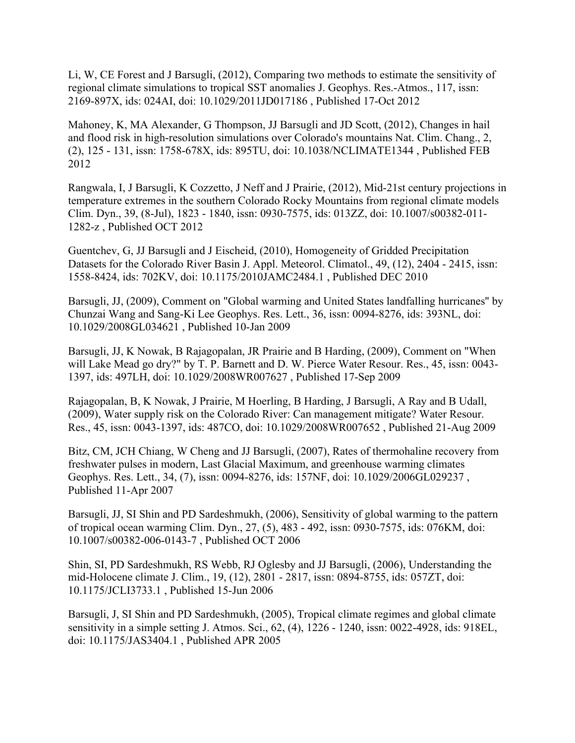Li, W, CE Forest and J Barsugli, (2012), Comparing two methods to estimate the sensitivity of regional climate simulations to tropical SST anomalies J. Geophys. Res.-Atmos., 117, issn: 2169-897X, ids: 024AI, doi: 10.1029/2011JD017186 , Published 17-Oct 2012

Mahoney, K, MA Alexander, G Thompson, JJ Barsugli and JD Scott, (2012), Changes in hail and flood risk in high-resolution simulations over Colorado's mountains Nat. Clim. Chang., 2, (2), 125 - 131, issn: 1758-678X, ids: 895TU, doi: 10.1038/NCLIMATE1344 , Published FEB 2012

Rangwala, I, J Barsugli, K Cozzetto, J Neff and J Prairie, (2012), Mid-21st century projections in temperature extremes in the southern Colorado Rocky Mountains from regional climate models Clim. Dyn., 39, (8-Jul), 1823 - 1840, issn: 0930-7575, ids: 013ZZ, doi: 10.1007/s00382-011- 1282-z , Published OCT 2012

Guentchev, G, JJ Barsugli and J Eischeid, (2010), Homogeneity of Gridded Precipitation Datasets for the Colorado River Basin J. Appl. Meteorol. Climatol., 49, (12), 2404 - 2415, issn: 1558-8424, ids: 702KV, doi: 10.1175/2010JAMC2484.1 , Published DEC 2010

Barsugli, JJ, (2009), Comment on "Global warming and United States landfalling hurricanes'' by Chunzai Wang and Sang-Ki Lee Geophys. Res. Lett., 36, issn: 0094-8276, ids: 393NL, doi: 10.1029/2008GL034621 , Published 10-Jan 2009

Barsugli, JJ, K Nowak, B Rajagopalan, JR Prairie and B Harding, (2009), Comment on "When will Lake Mead go dry?" by T. P. Barnett and D. W. Pierce Water Resour. Res., 45, issn: 0043- 1397, ids: 497LH, doi: 10.1029/2008WR007627 , Published 17-Sep 2009

Rajagopalan, B, K Nowak, J Prairie, M Hoerling, B Harding, J Barsugli, A Ray and B Udall, (2009), Water supply risk on the Colorado River: Can management mitigate? Water Resour. Res., 45, issn: 0043-1397, ids: 487CO, doi: 10.1029/2008WR007652 , Published 21-Aug 2009

Bitz, CM, JCH Chiang, W Cheng and JJ Barsugli, (2007), Rates of thermohaline recovery from freshwater pulses in modern, Last Glacial Maximum, and greenhouse warming climates Geophys. Res. Lett., 34, (7), issn: 0094-8276, ids: 157NF, doi: 10.1029/2006GL029237 , Published 11-Apr 2007

Barsugli, JJ, SI Shin and PD Sardeshmukh, (2006), Sensitivity of global warming to the pattern of tropical ocean warming Clim. Dyn., 27, (5), 483 - 492, issn: 0930-7575, ids: 076KM, doi: 10.1007/s00382-006-0143-7 , Published OCT 2006

Shin, SI, PD Sardeshmukh, RS Webb, RJ Oglesby and JJ Barsugli, (2006), Understanding the mid-Holocene climate J. Clim., 19, (12), 2801 - 2817, issn: 0894-8755, ids: 057ZT, doi: 10.1175/JCLI3733.1 , Published 15-Jun 2006

Barsugli, J, SI Shin and PD Sardeshmukh, (2005), Tropical climate regimes and global climate sensitivity in a simple setting J. Atmos. Sci., 62, (4), 1226 - 1240, issn: 0022-4928, ids: 918EL, doi: 10.1175/JAS3404.1 , Published APR 2005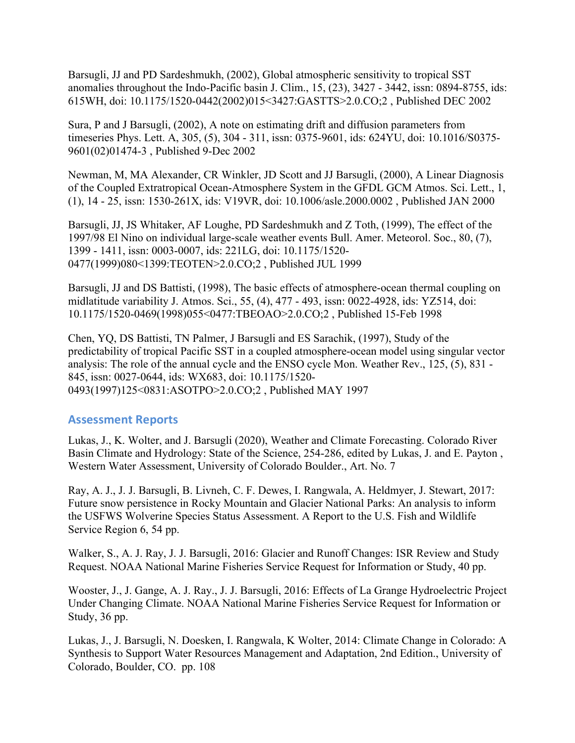Barsugli, JJ and PD Sardeshmukh, (2002), Global atmospheric sensitivity to tropical SST anomalies throughout the Indo-Pacific basin J. Clim., 15, (23), 3427 - 3442, issn: 0894-8755, ids: 615WH, doi: 10.1175/1520-0442(2002)015<3427:GASTTS>2.0.CO;2 , Published DEC 2002

Sura, P and J Barsugli, (2002), A note on estimating drift and diffusion parameters from timeseries Phys. Lett. A, 305, (5), 304 - 311, issn: 0375-9601, ids: 624YU, doi: 10.1016/S0375- 9601(02)01474-3 , Published 9-Dec 2002

Newman, M, MA Alexander, CR Winkler, JD Scott and JJ Barsugli, (2000), A Linear Diagnosis of the Coupled Extratropical Ocean-Atmosphere System in the GFDL GCM Atmos. Sci. Lett., 1, (1), 14 - 25, issn: 1530-261X, ids: V19VR, doi: 10.1006/asle.2000.0002 , Published JAN 2000

Barsugli, JJ, JS Whitaker, AF Loughe, PD Sardeshmukh and Z Toth, (1999), The effect of the 1997/98 El Nino on individual large-scale weather events Bull. Amer. Meteorol. Soc., 80, (7), 1399 - 1411, issn: 0003-0007, ids: 221LG, doi: 10.1175/1520- 0477(1999)080<1399:TEOTEN>2.0.CO;2 , Published JUL 1999

Barsugli, JJ and DS Battisti, (1998), The basic effects of atmosphere-ocean thermal coupling on midlatitude variability J. Atmos. Sci., 55, (4), 477 - 493, issn: 0022-4928, ids: YZ514, doi: 10.1175/1520-0469(1998)055<0477:TBEOAO>2.0.CO;2 , Published 15-Feb 1998

Chen, YQ, DS Battisti, TN Palmer, J Barsugli and ES Sarachik, (1997), Study of the predictability of tropical Pacific SST in a coupled atmosphere-ocean model using singular vector analysis: The role of the annual cycle and the ENSO cycle Mon. Weather Rev., 125, (5), 831 - 845, issn: 0027-0644, ids: WX683, doi: 10.1175/1520- 0493(1997)125<0831:ASOTPO>2.0.CO;2 , Published MAY 1997

## **Assessment Reports**

Lukas, J., K. Wolter, and J. Barsugli (2020), Weather and Climate Forecasting. Colorado River Basin Climate and Hydrology: State of the Science, 254-286, edited by Lukas, J. and E. Payton , Western Water Assessment, University of Colorado Boulder., Art. No. 7

Ray, A. J., J. J. Barsugli, B. Livneh, C. F. Dewes, I. Rangwala, A. Heldmyer, J. Stewart, 2017: Future snow persistence in Rocky Mountain and Glacier National Parks: An analysis to inform the USFWS Wolverine Species Status Assessment. A Report to the U.S. Fish and Wildlife Service Region 6, 54 pp.

Walker, S., A. J. Ray, J. J. Barsugli, 2016: Glacier and Runoff Changes: ISR Review and Study Request. NOAA National Marine Fisheries Service Request for Information or Study, 40 pp.

Wooster, J., J. Gange, A. J. Ray., J. J. Barsugli, 2016: Effects of La Grange Hydroelectric Project Under Changing Climate. NOAA National Marine Fisheries Service Request for Information or Study, 36 pp.

Lukas, J., J. Barsugli, N. Doesken, I. Rangwala, K Wolter, 2014: Climate Change in Colorado: A Synthesis to Support Water Resources Management and Adaptation, 2nd Edition., University of Colorado, Boulder, CO. pp. 108